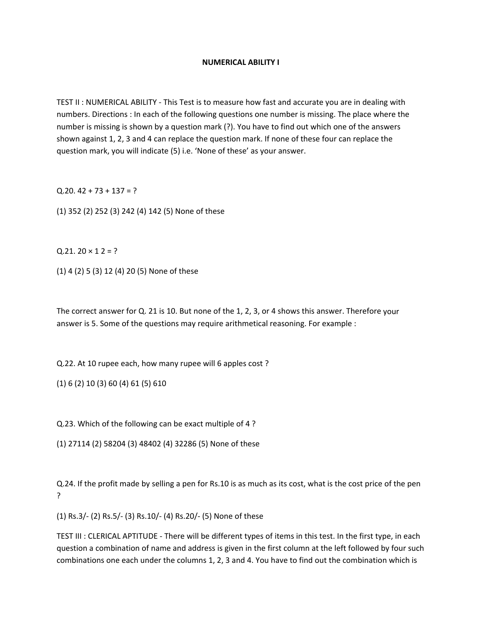## **NUMERICAL ABILITY I**

TEST II : NUMERICAL ABILITY ‐ This Test is to measure how fast and accurate you are in dealing with numbers. Directions : In each of the following questions one number is missing. The place where the number is missing is shown by a question mark (?). You have to find out which one of the answers shown against 1, 2, 3 and 4 can replace the question mark. If none of these four can replace the question mark, you will indicate (5) i.e. 'None of these' as your answer.

 $Q.20.42 + 73 + 137 = ?$ 

(1) 352 (2) 252 (3) 242 (4) 142 (5) None of these

 $Q.21.20 \times 12 = ?$ 

(1) 4 (2) 5 (3) 12 (4) 20 (5) None of these

The correct answer for Q. 21 is 10. But none of the 1, 2, 3, or 4 shows this answer. Therefore your answer is 5. Some of the questions may require arithmetical reasoning. For example :

Q.22. At 10 rupee each, how many rupee will 6 apples cost ?

(1) 6 (2) 10 (3) 60 (4) 61 (5) 610

Q.23. Which of the following can be exact multiple of 4 ?

(1) 27114 (2) 58204 (3) 48402 (4) 32286 (5) None of these

Q.24. If the profit made by selling a pen for Rs.10 is as much as its cost, what is the cost price of the pen ?

(1) Rs.3/‐ (2) Rs.5/‐ (3) Rs.10/‐ (4) Rs.20/‐ (5) None of these

TEST III : CLERICAL APTITUDE ‐ There will be different types of items in this test. In the first type, in each question a combination of name and address is given in the first column at the left followed by four such combinations one each under the columns 1, 2, 3 and 4. You have to find out the combination which is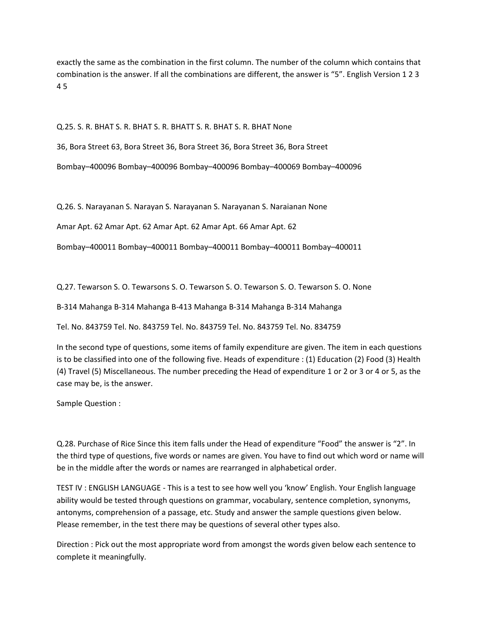exactly the same as the combination in the first column. The number of the column which contains that combination is the answer. If all the combinations are different, the answer is "5". English Version 1 2 3 4 5

Q.25. S. R. BHAT S. R. BHAT S. R. BHATT S. R. BHAT S. R. BHAT None

36, Bora Street 63, Bora Street 36, Bora Street 36, Bora Street 36, Bora Street

Bombay–400096 Bombay–400096 Bombay–400096 Bombay–400069 Bombay–400096

Q.26. S. Narayanan S. Narayan S. Narayanan S. Narayanan S. Naraianan None

Amar Apt. 62 Amar Apt. 62 Amar Apt. 62 Amar Apt. 66 Amar Apt. 62

Bombay–400011 Bombay–400011 Bombay–400011 Bombay–400011 Bombay–400011

Q.27. Tewarson S. O. Tewarsons S. O. Tewarson S. O. Tewarson S. O. Tewarson S. O. None

B‐314 Mahanga B‐314 Mahanga B‐413 Mahanga B‐314 Mahanga B‐314 Mahanga

Tel. No. 843759 Tel. No. 843759 Tel. No. 843759 Tel. No. 843759 Tel. No. 834759

In the second type of questions, some items of family expenditure are given. The item in each questions is to be classified into one of the following five. Heads of expenditure : (1) Education (2) Food (3) Health (4) Travel (5) Miscellaneous. The number preceding the Head of expenditure 1 or 2 or 3 or 4 or 5, as the case may be, is the answer.

Sample Question :

Q.28. Purchase of Rice Since this item falls under the Head of expenditure "Food" the answer is "2". In the third type of questions, five words or names are given. You have to find out which word or name will be in the middle after the words or names are rearranged in alphabetical order.

TEST IV : ENGLISH LANGUAGE ‐ This is a test to see how well you 'know' English. Your English language ability would be tested through questions on grammar, vocabulary, sentence completion, synonyms, antonyms, comprehension of a passage, etc. Study and answer the sample questions given below. Please remember, in the test there may be questions of several other types also.

Direction : Pick out the most appropriate word from amongst the words given below each sentence to complete it meaningfully.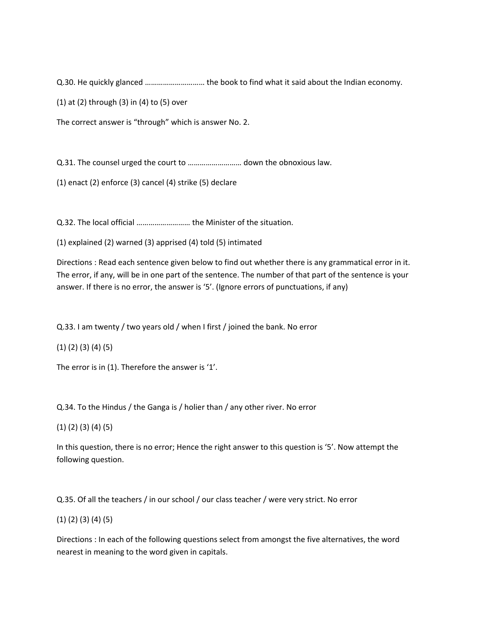Q.30. He quickly glanced ………………………… the book to find what it said about the Indian economy.

(1) at (2) through (3) in (4) to (5) over

The correct answer is "through" which is answer No. 2.

Q.31. The counsel urged the court to ……………………… down the obnoxious law.

(1) enact (2) enforce (3) cancel (4) strike (5) declare

Q.32. The local official ……………………… the Minister of the situation.

(1) explained (2) warned (3) apprised (4) told (5) intimated

Directions : Read each sentence given below to find out whether there is any grammatical error in it. The error, if any, will be in one part of the sentence. The number of that part of the sentence is your answer. If there is no error, the answer is '5'. (Ignore errors of punctuations, if any)

Q.33. I am twenty / two years old / when I first / joined the bank. No error

(1) (2) (3) (4) (5)

The error is in (1). Therefore the answer is '1'.

Q.34. To the Hindus / the Ganga is / holier than / any other river. No error

(1) (2) (3) (4) (5)

In this question, there is no error; Hence the right answer to this question is '5'. Now attempt the following question.

Q.35. Of all the teachers / in our school / our class teacher / were very strict. No error

## (1) (2) (3) (4) (5)

Directions : In each of the following questions select from amongst the five alternatives, the word nearest in meaning to the word given in capitals.